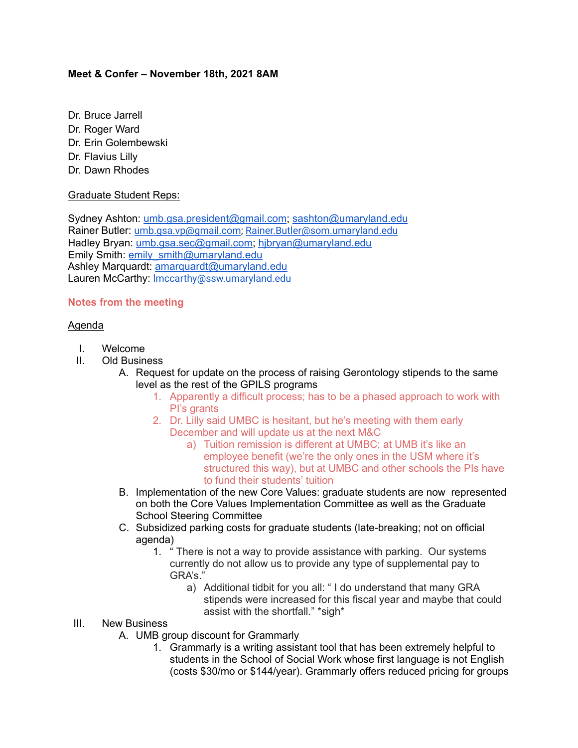## **Meet & Confer – November 18th, 2021 8AM**

- Dr. Bruce Jarrell
- Dr. Roger Ward
- Dr. Erin Golembewski
- Dr. Flavius Lilly
- Dr. Dawn Rhodes

## Graduate Student Reps:

Sydney Ashton: [umb.gsa.president@gmail.com;](mailto:umb.gsa.president@gmail.com) [sashton@umaryland.edu](mailto:sashton@umaryland.edu) Rainer Butler: [umb.gsa.vp@gmail.com;](mailto:umb.gsa.vp@gmail.com) [Rainer.Butler@som.umaryland.edu](mailto:Rainer.Butler@som.umaryland.edu) Hadley Bryan: [umb.gsa.sec@gmail.com;](mailto:umb.gsa.sec@gmail.com) [hjbryan@umaryland.edu](mailto:hjbryan@umaryland.edu) Emily Smith: [emily\\_smith@umaryland.edu](mailto:emily_smith@umaryland.edu) Ashley Marquardt: [amarquardt@umaryland.edu](mailto:amarquardt@umaryland.edu) Lauren McCarthy: [lmccarthy@ssw.umaryland.edu](mailto:lmccarthy@ssw.umaryland.edu)

# **Notes from the meeting**

## Agenda

- I. Welcome
- II. Old Business
	- A. Request for update on the process of raising Gerontology stipends to the same level as the rest of the GPILS programs
		- 1. Apparently a difficult process; has to be a phased approach to work with PI's grants
		- 2. Dr. Lilly said UMBC is hesitant, but he's meeting with them early December and will update us at the next M&C
			- a) Tuition remission is different at UMBC; at UMB it's like an employee benefit (we're the only ones in the USM where it's structured this way), but at UMBC and other schools the PIs have to fund their students' tuition
	- B. Implementation of the new Core Values: graduate students are now represented on both the Core Values Implementation Committee as well as the Graduate School Steering Committee
	- C. Subsidized parking costs for graduate students (late-breaking; not on official agenda)
		- 1. " There is not a way to provide assistance with parking. Our systems currently do not allow us to provide any type of supplemental pay to GRA's."
			- a) Additional tidbit for you all: " I do understand that many GRA stipends were increased for this fiscal year and maybe that could assist with the shortfall." \*sigh\*

## III. New Business

- A. UMB group discount for Grammarly
	- 1. Grammarly is a writing assistant tool that has been extremely helpful to students in the School of Social Work whose first language is not English (costs \$30/mo or \$144/year). Grammarly offers reduced pricing for groups